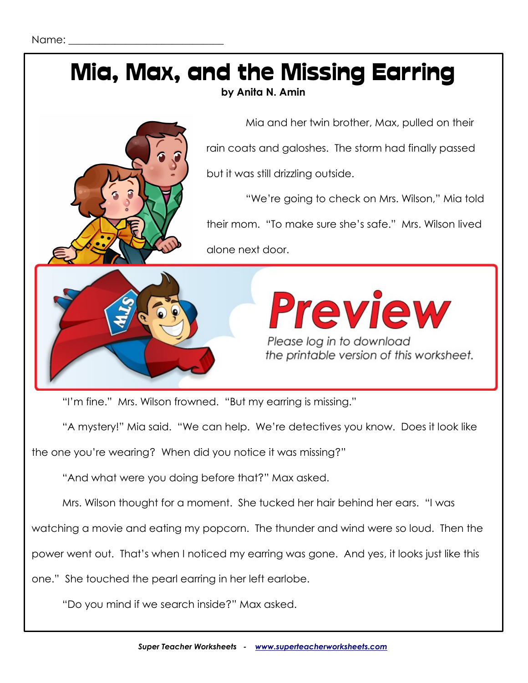

"I'm fine." Mrs. Wilson frowned. "But my earring is missing."

"A mystery!" Mia said. "We can help. We're detectives you know. Does it look like

the one you're wearing? When did you notice it was missing?"

"And what were you doing before that?" Max asked.

Mrs. Wilson thought for a moment. She tucked her hair behind her ears. "I was

watching a movie and eating my popcorn. The thunder and wind were so loud. Then the

power went out. That's when I noticed my earring was gone. And yes, it looks just like this

one." She touched the pearl earring in her left earlobe.

"Do you mind if we search inside?" Max asked.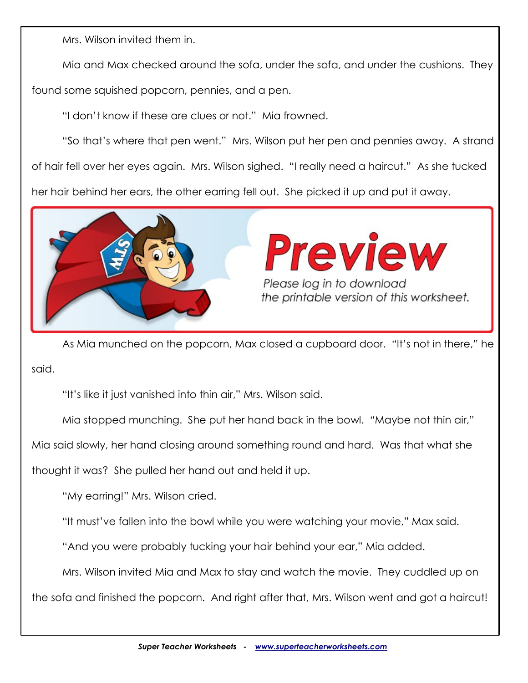Mrs. Wilson invited them in.

Mia and Max checked around the sofa, under the sofa, and under the cushions. They

found some squished popcorn, pennies, and a pen.

"I don't know if these are clues or not." Mia frowned.

"So that's where that pen went." Mrs. Wilson put her pen and pennies away. A strand of hair fell over her eyes again. Mrs. Wilson sighed. "I really need a haircut." As she tucked her hair behind her ears, the other earring fell out. She picked it up and put it away.



As Mia munched on the popcorn, Max closed a cupboard door. "It's not in there," he said.

"It's like it just vanished into thin air," Mrs. Wilson said.

Mia stopped munching. She put her hand back in the bowl. "Maybe not thin air,"

Mia said slowly, her hand closing around something round and hard. Was that what she

thought it was? She pulled her hand out and held it up.

"My earring!" Mrs. Wilson cried.

"It must've fallen into the bowl while you were watching your movie," Max said.

"And you were probably tucking your hair behind your ear," Mia added.

Mrs. Wilson invited Mia and Max to stay and watch the movie. They cuddled up on

the sofa and finished the popcorn. And right after that, Mrs. Wilson went and got a haircut!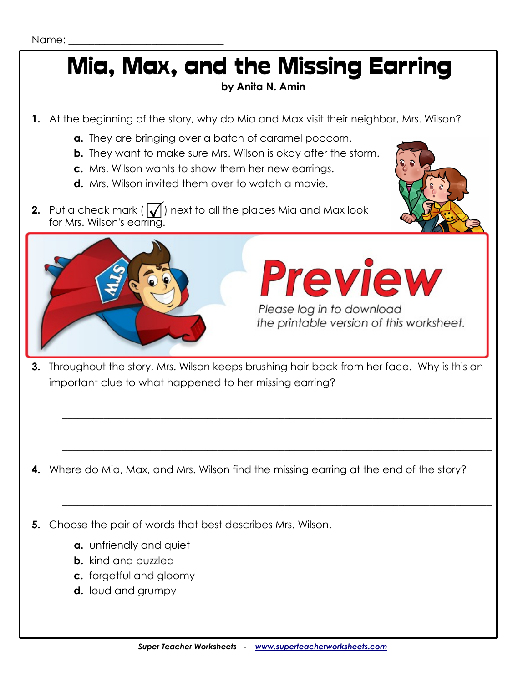# Mia, Max, and the Missing Earring

#### **by Anita N. Amin**

- **1.** At the beginning of the story, why do Mia and Max visit their neighbor, Mrs. Wilson?
	- **a.** They are bringing over a batch of caramel popcorn.
	- **b.** They want to make sure Mrs. Wilson is okay after the storm.
	- **c.** Mrs. Wilson wants to show them her new earrings.
	- **d.** Mrs. Wilson invited them over to watch a movie.
- **2.** Put a check mark  $\left(\sqrt{\right)}$  next to all the places Mia and Max look for Mrs. Wilson's earring.





### **Preview** Please log in to download the printable version of this worksheet.

**3.** Throughout the story, Mrs. Wilson keeps brushing hair back from her face. Why is this an important clue to what happened to her missing earring?

 $\_$  , and the set of the set of the set of the set of the set of the set of the set of the set of the set of the set of the set of the set of the set of the set of the set of the set of the set of the set of the set of th

 $\_$  , and the set of the set of the set of the set of the set of the set of the set of the set of the set of the set of the set of the set of the set of the set of the set of the set of the set of the set of the set of th

 $\_$  , and the set of the set of the set of the set of the set of the set of the set of the set of the set of the set of the set of the set of the set of the set of the set of the set of the set of the set of the set of th

**4.** Where do Mia, Max, and Mrs. Wilson find the missing earring at the end of the story?

**5.** Choose the pair of words that best describes Mrs. Wilson.

- **a.** unfriendly and quiet
- **b.** kind and puzzled
- **c.** forgetful and gloomy
- **d.** loud and grumpy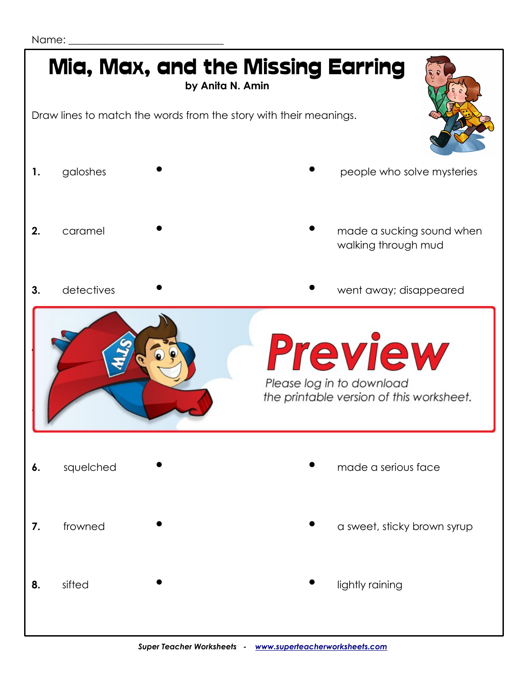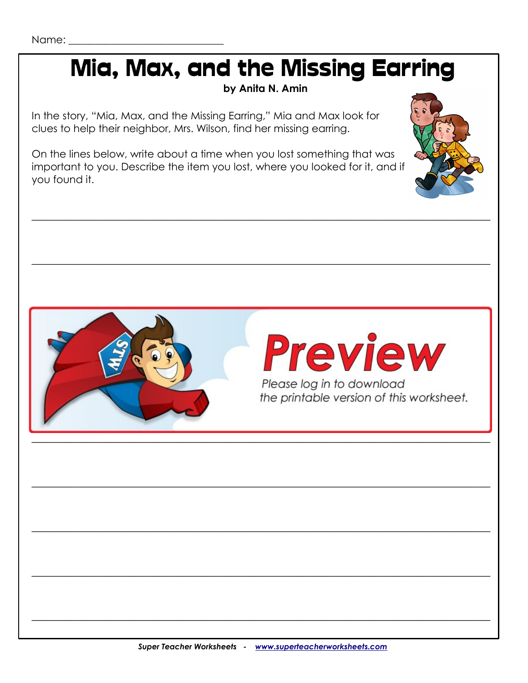## Mia, Max, and the Missing Earring

by Anita N. Amin

In the story, "Mia, Max, and the Missing Earring," Mia and Max look for clues to help their neighbor, Mrs. Wilson, find her missing earring.

On the lines below, write about a time when you lost something that was important to you. Describe the item you lost, where you looked for it, and if you found it.



# **Preview** Please log in to download

the printable version of this worksheet.

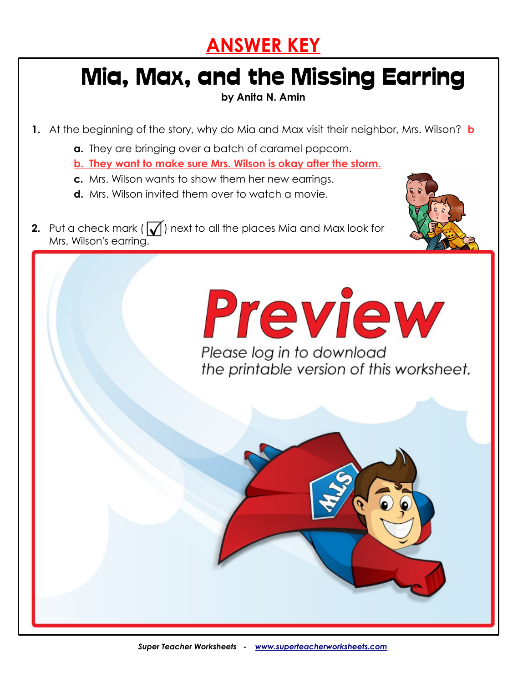### **ANSWER KEY**

## Mia, Max, and the Missing Earring

**by Anita N. Amin**

- **1.** At the beginning of the story, why do Mia and Max visit their neighbor, Mrs. Wilson? **b**
	- **a.** They are bringing over a batch of caramel popcorn.
	- **b. They want to make sure Mrs. Wilson is okay after the storm.**
	- **c.** Mrs. Wilson wants to show them her new earrings.
	- **d.** Mrs. Wilson invited them over to watch a movie.
- **2.** Put a check mark  $\left(\sqrt{\right})$  next to all the places Mia and Max look for Mrs. Wilson's earring.